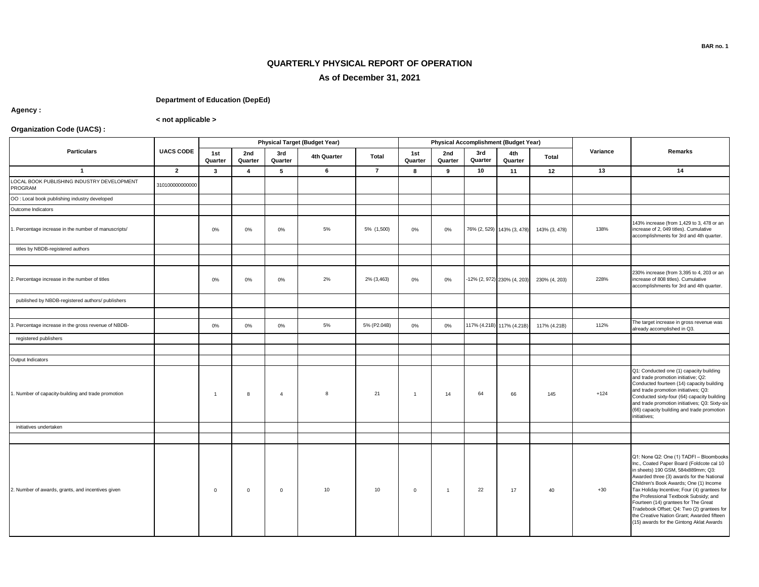## **BAR no. 1**

## **QUARTERLY PHYSICAL REPORT OF OPERATION As of December 31, 2021**

## **Department of Education (DepEd)**

**Agency :**

**< not applicable >**

## **Organization Code (UACS) :**

| <b>Particulars</b>                                    | <b>UACS CODE</b> | <b>Physical Target (Budget Year)</b> |                |                |             |                |                |                |                | Physical Accomplishment (Budget Year) |               |          |                                                                                                                                                                                                                                                                                                                                                                                                                                                                                             |
|-------------------------------------------------------|------------------|--------------------------------------|----------------|----------------|-------------|----------------|----------------|----------------|----------------|---------------------------------------|---------------|----------|---------------------------------------------------------------------------------------------------------------------------------------------------------------------------------------------------------------------------------------------------------------------------------------------------------------------------------------------------------------------------------------------------------------------------------------------------------------------------------------------|
|                                                       |                  | 1st<br>Quarter                       | 2nd<br>Quarter | 3rd<br>Quarter | 4th Quarter | Total          | 1st<br>Quarter | 2nd<br>Quarter | 3rd<br>Quarter | 4th<br>Quarter                        | <b>Total</b>  | Variance | Remarks                                                                                                                                                                                                                                                                                                                                                                                                                                                                                     |
| $\mathbf{1}$                                          | $\overline{2}$   | $\mathbf{3}$                         | $\overline{4}$ | 5              | 6           | $\overline{7}$ | 8              | 9              | 10             | 11                                    | 12            | 13       | 14                                                                                                                                                                                                                                                                                                                                                                                                                                                                                          |
| LOCAL BOOK PUBLISHING INDUSTRY DEVELOPMENT<br>PROGRAM | 310100000000000  |                                      |                |                |             |                |                |                |                |                                       |               |          |                                                                                                                                                                                                                                                                                                                                                                                                                                                                                             |
| OO: Local book publishing industry developed          |                  |                                      |                |                |             |                |                |                |                |                                       |               |          |                                                                                                                                                                                                                                                                                                                                                                                                                                                                                             |
| Outcome Indicators                                    |                  |                                      |                |                |             |                |                |                |                |                                       |               |          |                                                                                                                                                                                                                                                                                                                                                                                                                                                                                             |
| . Percentage increase in the number of manuscripts/   |                  | $0\%$                                | 0%             | 0%             | 5%          | 5% (1,500)     | $0\%$          | 0%             |                | 76% (2, 529) 143% (3, 478)            | 143% (3, 478) | 138%     | 143% increase (from 1,429 to 3, 478 or an<br>increase of 2, 049 titles). Cumulative<br>accomplishments for 3rd and 4th quarter.                                                                                                                                                                                                                                                                                                                                                             |
| titles by NBDB-registered authors                     |                  |                                      |                |                |             |                |                |                |                |                                       |               |          |                                                                                                                                                                                                                                                                                                                                                                                                                                                                                             |
|                                                       |                  |                                      |                |                |             |                |                |                |                |                                       |               |          |                                                                                                                                                                                                                                                                                                                                                                                                                                                                                             |
| 2. Percentage increase in the number of titles        |                  | $0\%$                                | 0%             | 0%             | 2%          | 2% (3,463)     | 0%             | $0\%$          |                | -12% (2, 972) 230% (4, 203)           | 230% (4, 203) | 228%     | 230% increase (from 3,395 to 4, 203 or an<br>increase of 808 titles). Cumulative<br>accomplishments for 3rd and 4th quarter.                                                                                                                                                                                                                                                                                                                                                                |
| published by NBDB-registered authors/ publishers      |                  |                                      |                |                |             |                |                |                |                |                                       |               |          |                                                                                                                                                                                                                                                                                                                                                                                                                                                                                             |
|                                                       |                  |                                      |                |                |             |                |                |                |                |                                       |               |          |                                                                                                                                                                                                                                                                                                                                                                                                                                                                                             |
| 3. Percentage increase in the gross revenue of NBDB-  |                  | $0\%$                                | 0%             | 0%             | 5%          | 5% (P2.04B)    | 0%             | 0%             |                | 117% (4.21B) 117% (4.21B)             | 117% (4.21B)  | 112%     | The target increase in gross revenue was<br>already accomplished in Q3.                                                                                                                                                                                                                                                                                                                                                                                                                     |
| registered publishers                                 |                  |                                      |                |                |             |                |                |                |                |                                       |               |          |                                                                                                                                                                                                                                                                                                                                                                                                                                                                                             |
|                                                       |                  |                                      |                |                |             |                |                |                |                |                                       |               |          |                                                                                                                                                                                                                                                                                                                                                                                                                                                                                             |
| Output Indicators                                     |                  |                                      |                |                |             |                |                |                |                |                                       |               |          |                                                                                                                                                                                                                                                                                                                                                                                                                                                                                             |
| 1. Number of capacity-building and trade promotion    |                  | $\overline{1}$                       | 8              | $\overline{4}$ | 8           | 21             | $\overline{1}$ | 14             | 64             | 66                                    | 145           | $+124$   | Q1: Conducted one (1) capacity building<br>and trade promotion initiative; Q2:<br>Conducted fourteen (14) capacity building<br>and trade promotion initiatives; Q3:<br>Conducted sixty-four (64) capacity building<br>and trade promotion initiatives; Q3: Sixty-six<br>(66) capacity building and trade promotion<br>initiatives;                                                                                                                                                          |
| initiatives undertaken                                |                  |                                      |                |                |             |                |                |                |                |                                       |               |          |                                                                                                                                                                                                                                                                                                                                                                                                                                                                                             |
|                                                       |                  |                                      |                |                |             |                |                |                |                |                                       |               |          |                                                                                                                                                                                                                                                                                                                                                                                                                                                                                             |
| 2. Number of awards, grants, and incentives given     |                  | $\mathbf 0$                          | $\overline{0}$ | $\mathbf 0$    | 10          | 10             | $\mathbf{0}$   | $\overline{1}$ | 22             | 17                                    | 40            | $+30$    | Q1: None Q2: One (1) TADFI - Bloombooks<br>Inc., Coated Paper Board (Foldcote cal 10<br>in sheets) 190 GSM, 584x889mm; Q3:<br>Awarded three (3) awards for the National<br>Children's Book Awards; One (1) Income<br>Tax Holiday Incentive; Four (4) grantees for<br>the Professional Textbook Subsidy; and<br>Fourteen (14) grantees for The Great<br>Tradebook Offset; Q4: Two (2) grantees for<br>the Creative Nation Grant; Awarded fifteen<br>(15) awards for the Gintong Aklat Awards |